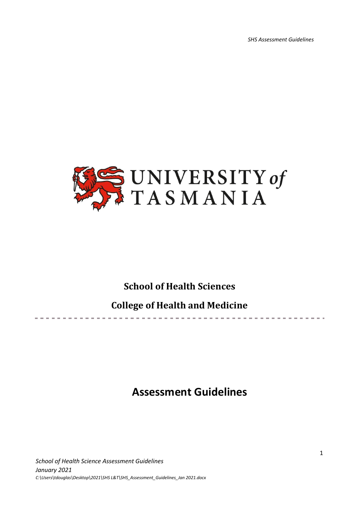*SHS Assessment Guidelines*

where the control of the control of the



## **School of Health Sciences**

# **College of Health and Medicine**

# **Assessment Guidelines**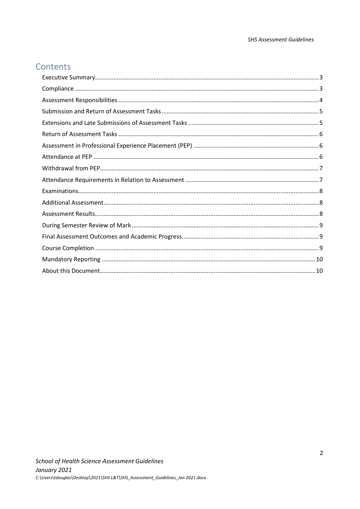## Contents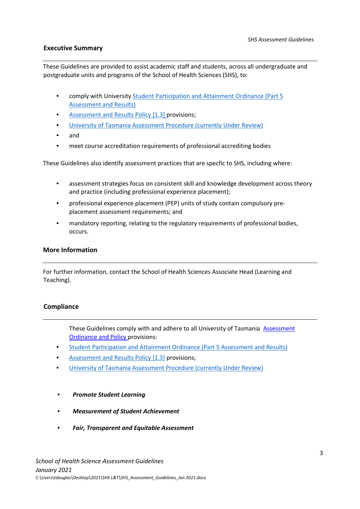### <span id="page-2-0"></span>**Executive Summary**

These Guidelines are provided to assist academic staff and students, across all undergraduate and postgraduate units and programs of the School of Health Sciences (SHS), to:

- comply with University [Student Participation and Attainment Ordinance \(Part 5](https://www.utas.edu.au/__data/assets/pdf_file/0006/1373919/Student-Participation-and-Attainment-Ordinance.pdf)  [Assessment and Results\)](https://www.utas.edu.au/__data/assets/pdf_file/0006/1373919/Student-Participation-and-Attainment-Ordinance.pdf)
- [Assessment and Results Policy \[1.3\]](https://www.utas.edu.au/policy/policies/student-participation-and-attainment/1.3-Assessment-and-Results-Policy) [pr](http://www.utas.edu.au/policy/alphabetical)ovisions;
- [University of Tasmania Assessment Procedure \(currently Under Review\)](https://www.utas.edu.au/__data/assets/pdf_file/0004/1368553/Assessment-Procedure-UNDER-REVIEW.pdf)
- and
- meet course accreditation requirements of professional accrediting bodies

These Guidelines also identify assessment practices that are specfic to SHS, including where:

- assessment strategies focus on consistent skill and knowledge development across theory and practice (including professional experience placement);
- professional experience placement (PEP) units of study contain compulsory preplacement assessment requirements; and
- mandatory reporting, relating to the regulatory requirements of professional bodies, occurs.

#### **More Information**

For further information, contact the School of Health Sciences Associate Head (Learning and Teaching).

#### <span id="page-2-1"></span>**Compliance**

- These Guidelines comply with and adhere to all [U](http://www.utas.edu.au/policy/alphabetical)niversity of Tasmania [Assessment](http://www.utas.edu.au/policy/alphabetical) Ordinance and [Policy](http://www.utas.edu.au/policy/alphabetical) [pr](http://www.utas.edu.au/policy/alphabetical)ovisions:
- [Student Participation and Attainment Ordinance \(Part 5 Assessment and Results\)](https://www.utas.edu.au/__data/assets/pdf_file/0006/1373919/Student-Participation-and-Attainment-Ordinance.pdf)
- [Assessment and Results Policy \[1.3\]](https://www.utas.edu.au/policy/policies/student-participation-and-attainment/1.3-Assessment-and-Results-Policy) [pr](http://www.utas.edu.au/policy/alphabetical)ovisions;
- [University of Tasmania Assessment Procedure \(currently Under Review\)](https://www.utas.edu.au/__data/assets/pdf_file/0004/1368553/Assessment-Procedure-UNDER-REVIEW.pdf)
- *Promote Student Learning*
- *Measurement of Student Achievement*
- *Fair, Transparent and Equitable Assessment*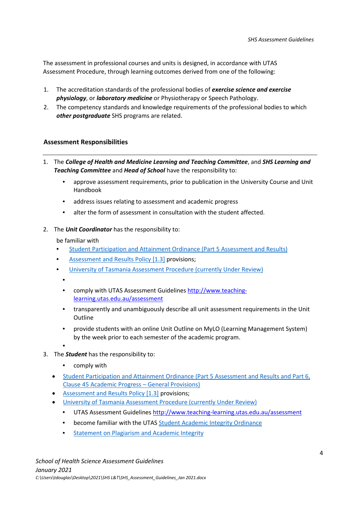The assessment in professional courses and units is designed, in accordance with UTAS Assessment Procedure, through learning outcomes derived from one of the following:

- 1. The accreditation standards of the professional bodies of *exercise science and exercise physiology*, or *laboratory medicine* or Physiotherapy or Speech Pathology.
- 2. The competency standards and knowledge requirements of the professional bodies to which *other postgraduate* SHS programs are related.

### <span id="page-3-0"></span>**Assessment Responsibilities**

- 1. The *College of Health and Medicine Learning and Teaching Committee*, and *SHS Learning and Teaching Committee* and *Head of School* have the responsibility to:
	- approve assessment requirements, prior to publication in the University Course and Unit Handbook
	- address issues relating to assessment and academic progress
	- alter the form of assessment in consultation with the student affected.
- 2. The *Unit Coordinator* has the responsibility to:

be familiar with

- [Student Participation and Attainment Ordinance \(Part 5 Assessment and Results\)](https://www.utas.edu.au/__data/assets/pdf_file/0006/1373919/Student-Participation-and-Attainment-Ordinance.pdf)
- [Assessment and Results Policy \[1.3\]](https://www.utas.edu.au/policy/policies/student-participation-and-attainment/1.3-Assessment-and-Results-Policy) [pr](http://www.utas.edu.au/policy/alphabetical)ovisions;
- [University of Tasmania Assessment Procedure \(currently Under Review\)](https://www.utas.edu.au/__data/assets/pdf_file/0004/1368553/Assessment-Procedure-UNDER-REVIEW.pdf)
	- •
	- comply with UTAS Assessment Guideline[s](http://www.teaching-learning.utas.edu.au/assessment) [http://www.teaching](http://www.teaching-learning.utas.edu.au/assessment)[learning.utas.edu.au/assessment](http://www.teaching-learning.utas.edu.au/assessment)
	- transparently and unambiguously describe all unit assessment requirements in the Unit **Outline**
	- provide students with an online Unit Outline on MyLO (Learning Management System) by the week prior to each semester of the academic program.

•

- 3. The *Student* has the responsibility to:
	- comply with
	- [Student Participation and Attainment Ordinance \(Part 5 Assessment and Results](https://www.utas.edu.au/__data/assets/pdf_file/0006/1373919/Student-Participation-and-Attainment-Ordinance.pdf) and Part 6, [Clause 45 Academic Progress –](https://www.utas.edu.au/__data/assets/pdf_file/0006/1373919/Student-Participation-and-Attainment-Ordinance.pdf) General Provisions)
	- [Assessment and Results Policy \[1.3\]](https://www.utas.edu.au/policy/policies/student-participation-and-attainment/1.3-Assessment-and-Results-Policy) [pr](http://www.utas.edu.au/policy/alphabetical)ovisions;
		- [University of Tasmania Assessment Procedure \(currently Under Review\)](https://www.utas.edu.au/__data/assets/pdf_file/0004/1368553/Assessment-Procedure-UNDER-REVIEW.pdf)
			- UTAS Assessment Guidelines<http://www.teaching-learning.utas.edu.au/assessment>
			- become familiar with the UTAS [Student Academic Integrity Ordinance](https://www.utas.edu.au/__data/assets/pdf_file/0008/1371581/Student-Academic-Integrity-Ordinance.pdf)
			- [Statement on Plagiarism and Academic Integrity](https://universitytasmania.sharepoint.com/sites/StudentPortal/SitePages/Academic-Integrity.aspx)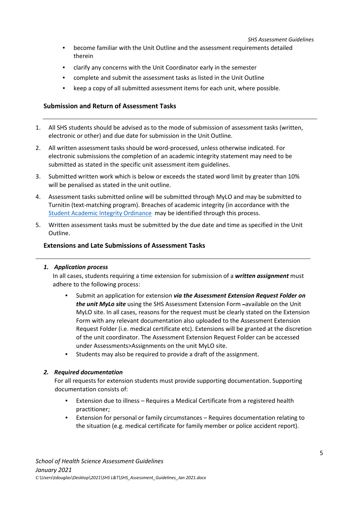*SHS Assessment Guidelines*

- become familiar with the Unit Outline and the assessment requirements detailed therein
- clarify any concerns with the Unit Coordinator early in the semester
- complete and submit the assessment tasks as listed in the Unit Outline
- keep a copy of all submitted assessment items for each unit, where possible.

## <span id="page-4-0"></span>**Submission and Return of Assessment Tasks**

- 1. All SHS students should be advised as to the mode of submission of assessment tasks (written, electronic or other) and due date for submission in the Unit Outline.
- 2. All written assessment tasks should be word-processed, unless otherwise indicated. For electronic submissions the completion of an academic integrity statement may need to be submitted as stated in the specific unit assessment item guidelines.
- 3. Submitted written work which is below or exceeds the stated word limit by greater than 10% will be penalised as stated in the unit outline.
- 4. Assessment tasks submitted online will be submitted through MyLO and may be submitted to Turnitin (text-matching program). Breaches of academic integrity (in accordance with the [Student Academic Integrity Ordinance](https://universitytasmania.sharepoint.com/sites/StudentPortal/SitePages/Academic-Integrity.aspx) may be identified through this process.
- 5. Written assessment tasks must be submitted by the due date and time as specified in the Unit Outline.

## <span id="page-4-1"></span>**Extensions and Late Submissions of Assessment Tasks**

### *1. Application process*

In all cases, students requiring a time extension for submission of a *written assignment* must adhere to the following process:

- Submit an application for extension *via the Assessment Extension Request Folder on the unit MyLo site* using the SHS Assessment Extension Form -available on the Unit MyLO site. In all cases, reasons for the request must be clearly stated on the Extension Form with any relevant documentation also uploaded to the Assessment Extension Request Folder (i.e. medical certificate etc). Extensions will be granted at the discretion of the unit coordinator. The Assessment Extension Request Folder can be accessed under Assessments>Assignments on the unit MyLO site.
- Students may also be required to provide a draft of the assignment.

### *2. Required documentation*

For all requests for extension students must provide supporting documentation. Supporting documentation consists of:

- Extension due to illness Requires a Medical Certificate from a registered health practitioner;
- Extension for personal or family circumstances Requires documentation relating to the situation (e.g. medical certificate for family member or police accident report).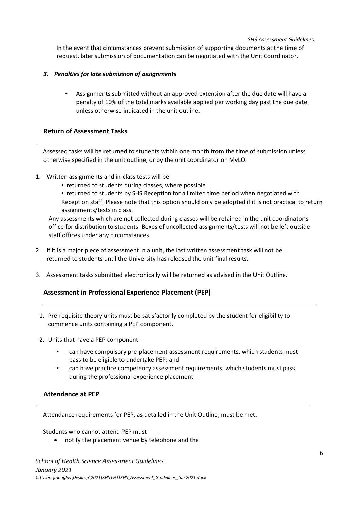#### *SHS Assessment Guidelines*

In the event that circumstances prevent submission of supporting documents at the time of request, later submission of documentation can be negotiated with the Unit Coordinator.

## *3. Penalties for late submission of assignments*

• Assignments submitted without an approved extension after the due date will have a penalty of 10% of the total marks available applied per working day past the due date, unless otherwise indicated in the unit outline.

## <span id="page-5-0"></span>**Return of Assessment Tasks**

Assessed tasks will be returned to students within one month from the time of submission unless otherwise specified in the unit outline, or by the unit coordinator on MyLO.

- 1. Written assignments and in-class tests will be:
	- returned to students during classes, where possible
	- returned to students by SHS Reception for a limited time period when negotiated with Reception staff. Please note that this option should only be adopted if it is not practical to return assignments/tests in class.

Any assessments which are not collected during classes will be retained in the unit coordinator's office for distribution to students. Boxes of uncollected assignments/tests will not be left outside staff offices under any circumstances.

- 2. If it is a major piece of assessment in a unit, the last written assessment task will not be returned to students until the University has released the unit final results.
- 3. Assessment tasks submitted electronically will be returned as advised in the Unit Outline.

## <span id="page-5-1"></span>**Assessment in Professional Experience Placement (PEP)**

- 1. Pre-requisite theory units must be satisfactorily completed by the student for eligibility to commence units containing a PEP component.
- 2. Units that have a PEP component:
	- can have compulsory pre-placement assessment requirements, which students must pass to be eligible to undertake PEP; and
	- can have practice competency assessment requirements, which students must pass during the professional experience placement.

## <span id="page-5-2"></span>**Attendance at PEP**

Attendance requirements for PEP, as detailed in the Unit Outline, must be met.

Students who cannot attend PEP must

• notify the placement venue by telephone and the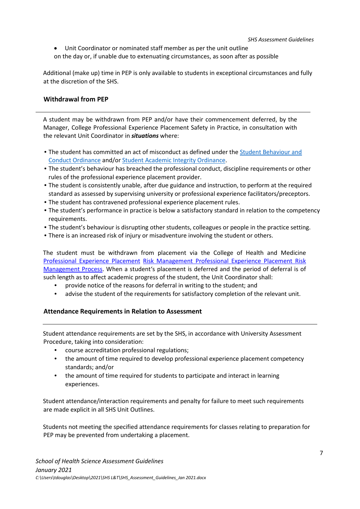• Unit Coordinator or nominated staff member as per the unit outline on the day or, if unable due to extenuating circumstances, as soon after as possible

Additional (make up) time in PEP is only available to students in exceptional circumstances and fully at the discretion of the SHS.

#### <span id="page-6-0"></span>**Withdrawal from PEP**

A student may be withdrawn from PEP and/or have their commencement deferred, by the Manager, College Professional Experience Placement Safety in Practice, in consultation with the relevant Unit Coordinator in *situations* where:

- The student has committed an act of misconduct as defined und[er](http://www.utas.edu.au/__data/assets/pdf_file/0006/23991/Ordinance-9-Student-Discipline.pdf) [t](http://www.utas.edu.au/__data/assets/pdf_file/0006/23991/Ordinance-9-Student-Discipline.pdf)he **Student Behaviour and** [Conduct Ordinance](https://www.utas.edu.au/__data/assets/pdf_file/0004/1371586/Student-Behaviour-and-Conduct-Ordinance.pdf) and/or [Student Academic Integrity Ordinance](https://universitytasmania.sharepoint.com/sites/StudentPortal/SitePages/Academic-Integrity.aspx)[.](http://www.utas.edu.au/__data/assets/pdf_file/0006/23991/Ordinance-9-Student-Discipline.pdf)
- The student's behaviour has breached the professional conduct, discipline requirements or other rules of the professional experience placement provider.
- The student is consistently unable, after due guidance and instruction, to perform at the required standard as assessed by supervising university or professional experience facilitators/preceptors.
- The student has contravened professional experience placement rules.
- The student's performance in practice is below a satisfactory standard in relation to the competency requirements.
- The student's behaviour is disrupting other students, colleagues or people in the practice setting.
- There is an increased risk of injury or misadventure involving the student or others.

The student must be withdrawn from placement via the College of Health and Medicin[e](http://www.utas.edu.au/nursing-midwifery/about-snm/policies-and-guidelines) [Professional](http://www.utas.edu.au/nursing-midwifery/about-snm/policies-and-guidelines) [Experience](http://www.utas.edu.au/nursing-midwifery/about-snm/policies-and-guidelines) [Placement](http://www.utas.edu.au/nursing-midwifery/about-snm/policies-and-guidelines) [Risk](https://www.utas.edu.au/__data/assets/pdf_file/0008/543518/Professional-Experience-Placement-Risk-Management-Procedure.pdf) [Management](https://www.utas.edu.au/__data/assets/pdf_file/0008/543518/Professional-Experience-Placement-Risk-Management-Procedure.pdf) [Professional Experience Placement Risk](https://secure.utas.edu.au/__data/assets/pdf_file/0008/543518/Professional-Experience-Placement-Risk-Management-Process.pdf)  [Management Process.](https://secure.utas.edu.au/__data/assets/pdf_file/0008/543518/Professional-Experience-Placement-Risk-Management-Process.pdf) [Wh](http://www.utas.edu.au/nursing-midwifery/about-snm/policies-and-guidelines)en a student's placement is deferred and the period of deferral is of such length as to affect academic progress of the student, the Unit Coordinator shall:

- provide notice of the reasons for deferral in writing to the student; and
- advise the student of the requirements for satisfactory completion of the relevant unit.

### <span id="page-6-1"></span>**Attendance Requirements in Relation to Assessment**

Student attendance requirements are set by the SHS, in accordance with University Assessment Procedure, taking into consideration:

- course accreditation professional regulations;
- the amount of time required to develop professional experience placement competency standards; and/or
- the amount of time required for students to participate and interact in learning experiences.

Student attendance/interaction requirements and penalty for failure to meet such requirements are made explicit in all SHS Unit Outlines.

Students not meeting the specified attendance requirements for classes relating to preparation for PEP may be prevented from undertaking a placement.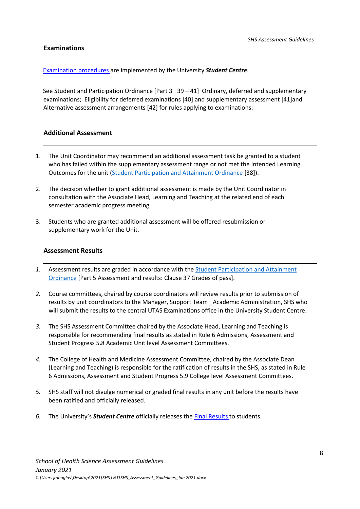#### <span id="page-7-0"></span>**Examinations**

[Examinati](http://www.studentcentre.utas.edu.au/examinations_and_results/)[o](https://www.utas.edu.au/exams)[n](http://www.studentcentre.utas.edu.au/examinations_and_results/) [pro](http://www.studentcentre.utas.edu.au/examinations_and_results/)[cedures](https://www.utas.edu.au/exams) [ar](http://www.studentcentre.utas.edu.au/examinations_and_results/)e implemented by the University *Student Centre*.

See Student and Participation Ordinance [Part 3\_ 39 – 41[\]](http://www.utas.edu.au/academic-governance/academic-senate/academic-senate-rules) Ordinary, deferred and supplementary examinations; Eligibility for deferred examinations [40] and supplementary assessment [41]and Alternative assessment arrangements [42[\] fo](http://www.utas.edu.au/academic-governance/academic-senate/academic-senate-rules)r rules applying to examinations:

### <span id="page-7-1"></span>**Additional Assessment**

- 1. The Unit Coordinator may recommend an additional assessment task be granted to a student who has failed within the supplementary assessment range or not met the Intended Learning Outcomes for the unit [\(Student Participation and Attainment Ordinance](https://www.utas.edu.au/__data/assets/pdf_file/0006/1373919/Student-Participation-and-Attainment-Ordinance.pdf) [38]).
- 2. The decision whether to grant additional assessment is made by the Unit Coordinator in consultation with the Associate Head, Learning and Teaching at the related end of each semester academic progress meeting.
- 3. Students who are granted additional assessment will be offered resubmission or supplementary work for the Unit.

### <span id="page-7-2"></span>**Assessment Results**

- *1.* Assessment results are graded in accordance wit[h](http://www.utas.edu.au/academic-governance/academic-senate/academic-senate-rules) the [Student Participation and Attainment](https://www.utas.edu.au/__data/assets/pdf_file/0006/1373919/Student-Participation-and-Attainment-Ordinance.pdf#page=19&zoom=100,72,140)  [Ordinance](https://www.utas.edu.au/__data/assets/pdf_file/0006/1373919/Student-Participation-and-Attainment-Ordinance.pdf#page=19&zoom=100,72,140) [Part 5 Assessment and results: Clause 37 Grades of pass].
- *2.* Course committees, chaired by course coordinators will review results prior to submission of results by unit coordinators to the Manager, Support Team \_Academic Administration, SHS who will submit the results to the central UTAS Examinations office in the University Student Centre.
- *3.* The SHS Assessment Committee chaired by the Associate Head, Learning and Teaching is responsible for recommending final results as stated in Rule 6 Admissions, Assessment and Student Progress 5.8 Academic Unit level Assessment Committees.
- *4.* The College of Health and Medicine Assessment Committee, chaired by the Associate Dean (Learning and Teaching) is responsible for the ratification of results in the SHS, as stated in Rule 6 Admissions, Assessment and Student Progress 5.9 College level Assessment Committees.
- *5.* SHS staff will not divulge numerical or graded final results in any unit before the results have been ratified and officially released.
- *6.* The University's *Student Centre* officially releases t[he](http://www.studentcentre.utas.edu.au/examinations_and_results/) [Final](https://www.utas.edu.au/exams) [Results](https://www.utas.edu.au/exams) [to](http://www.studentcentre.utas.edu.au/examinations_and_results/) students.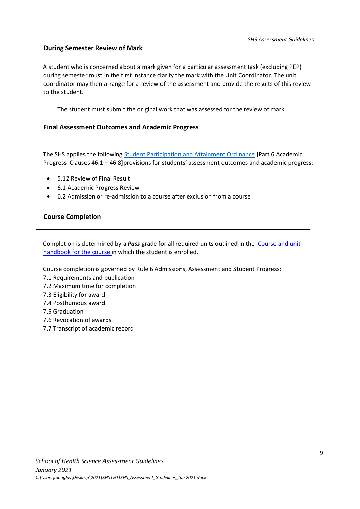#### <span id="page-8-0"></span>**During Semester Review of Mark**

A student who is concerned about a mark given for a particular assessment task (excluding PEP) during semester must in the first instance clarify the mark with the Unit Coordinator. The unit coordinator may then arrange for a review of the assessment and provide the results of this review to the student.

The student must submit the original work that was assessed for the review of mark.

#### <span id="page-8-1"></span>**Final Assessment Outcomes and Academic Progress**

The SHS applies the followin[g](http://www.utas.edu.au/academic-governance/academic-senate/academic-senate-rules) [Student Participation and Attainment Ordinance](https://www.utas.edu.au/__data/assets/pdf_file/0006/1373919/Student-Participation-and-Attainment-Ordinance.pdf#page=19&zoom=100,72,140) [Part 6 Academic Progress Clauses 46.1 – 46.8]provisions for students' assessment outcomes and academic progress:

- 5.12 Review of Final Result
- 6.1 Academic Progress Review
- 6.2 Admission or re-admission to a course after exclusion from a course

#### <span id="page-8-2"></span>**Course Completion**

Completion is determined by a *Pass* grade for all required units outlined in th[e](http://www.utas.edu.au/courses/study-areas/health-psychology-and-medicine) [Course and unit](https://www.utas.edu.au/courses)  [handbook for the course](http://www.utas.edu.au/courses/study-areas/health-psychology-and-medicine) [in](http://www.utas.edu.au/courses/study-areas/health-psychology-and-medicine) which the student is enrolled.

Course completion is governed by Rule 6 Admissions, Assessment and Student Progress:

- 7.1 Requirements and publication
- 7.2 Maximum time for completion
- 7.3 Eligibility for award
- 7.4 Posthumous award
- 7.5 Graduation
- 7.6 Revocation of awards
- 7.7 Transcript of academic record